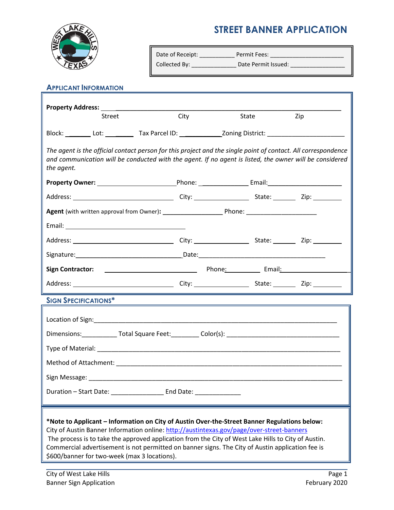

## **STREET BANNER APPLICATION**

| Date of Receipt: | Permit Fees:        |
|------------------|---------------------|
| Collected By:    | Date Permit Issued: |

## **APPLICANT INFORMATION**

| Street                                                                                                                                                                                                                                                                                                                                                                                                                                               | City | State                                                                                                                | Zip |  |  |  |
|------------------------------------------------------------------------------------------------------------------------------------------------------------------------------------------------------------------------------------------------------------------------------------------------------------------------------------------------------------------------------------------------------------------------------------------------------|------|----------------------------------------------------------------------------------------------------------------------|-----|--|--|--|
|                                                                                                                                                                                                                                                                                                                                                                                                                                                      |      |                                                                                                                      |     |  |  |  |
| The agent is the official contact person for this project and the single point of contact. All correspondence<br>and communication will be conducted with the agent. If no agent is listed, the owner will be considered<br>the agent.                                                                                                                                                                                                               |      |                                                                                                                      |     |  |  |  |
|                                                                                                                                                                                                                                                                                                                                                                                                                                                      |      |                                                                                                                      |     |  |  |  |
|                                                                                                                                                                                                                                                                                                                                                                                                                                                      |      |                                                                                                                      |     |  |  |  |
|                                                                                                                                                                                                                                                                                                                                                                                                                                                      |      |                                                                                                                      |     |  |  |  |
|                                                                                                                                                                                                                                                                                                                                                                                                                                                      |      |                                                                                                                      |     |  |  |  |
|                                                                                                                                                                                                                                                                                                                                                                                                                                                      |      |                                                                                                                      |     |  |  |  |
|                                                                                                                                                                                                                                                                                                                                                                                                                                                      |      |                                                                                                                      |     |  |  |  |
|                                                                                                                                                                                                                                                                                                                                                                                                                                                      |      |                                                                                                                      |     |  |  |  |
|                                                                                                                                                                                                                                                                                                                                                                                                                                                      |      |                                                                                                                      |     |  |  |  |
| <b>SIGN SPECIFICATIONS*</b>                                                                                                                                                                                                                                                                                                                                                                                                                          |      | <u> 1989 - Johann Stein, marwolaethau a bhann an t-Amhain an t-Amhain an t-Amhain an t-Amhain an t-Amhain an t-A</u> |     |  |  |  |
|                                                                                                                                                                                                                                                                                                                                                                                                                                                      |      |                                                                                                                      |     |  |  |  |
|                                                                                                                                                                                                                                                                                                                                                                                                                                                      |      |                                                                                                                      |     |  |  |  |
|                                                                                                                                                                                                                                                                                                                                                                                                                                                      |      |                                                                                                                      |     |  |  |  |
|                                                                                                                                                                                                                                                                                                                                                                                                                                                      |      |                                                                                                                      |     |  |  |  |
|                                                                                                                                                                                                                                                                                                                                                                                                                                                      |      |                                                                                                                      |     |  |  |  |
| Duration - Start Date: End Date:                                                                                                                                                                                                                                                                                                                                                                                                                     |      |                                                                                                                      |     |  |  |  |
| *Note to Applicant - Information on City of Austin Over-the-Street Banner Regulations below:<br>City of Austin Banner Information online: http://austintexas.gov/page/over-street-banners<br>The process is to take the approved application from the City of West Lake Hills to City of Austin.<br>Commercial advertisement is not permitted on banner signs. The City of Austin application fee is<br>\$600/banner for two-week (max 3 locations). |      |                                                                                                                      |     |  |  |  |